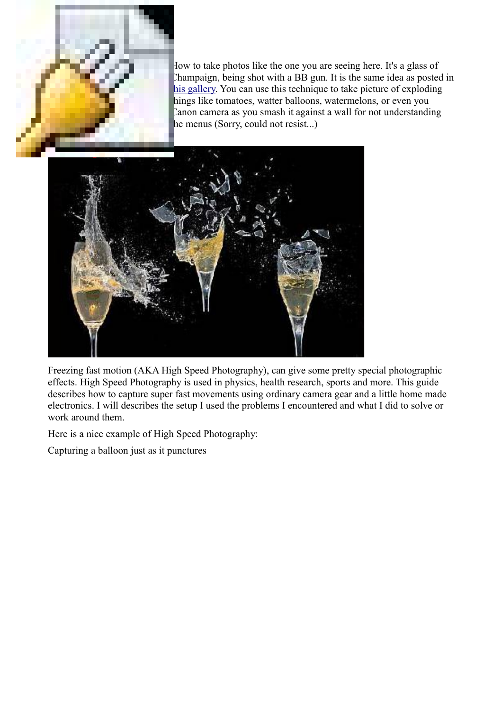

How to take photos like the one you are seeing here. It's a glass of Champaign, being shot with a BB gun. It is the same idea as posted in his gallery. You can use this technique to take picture of exploding hings like tomatoes, watter balloons, watermelons, or even you Canon camera as you smash it against a wall for not understanding he menus (Sorry, could not resist...)



Freezing fast motion (AKA High Speed Photography), can give some pretty special photographic effects. High Speed Photography is used in physics, health research, sports and more. This guide describes how to capture super fast movements using ordinary camera gear and a little home made electronics. I will describes the setup I used the problems I encountered and what I did to solve or work around them.

Here is a nice example of High Speed Photography:

Capturing a balloon just as it punctures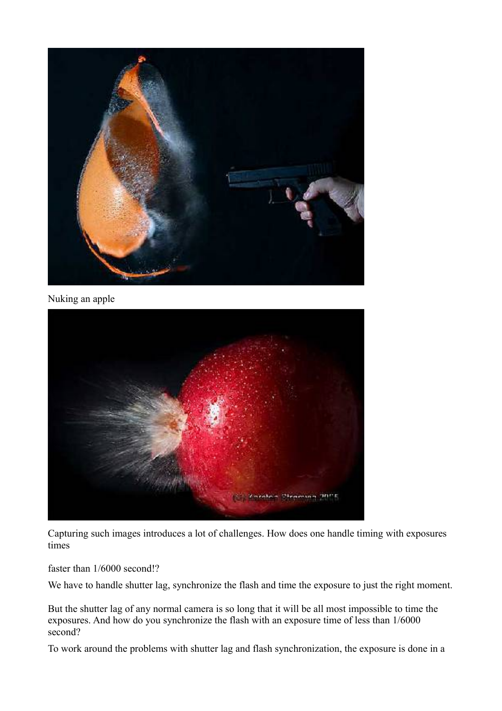

Nuking an apple



Capturing such images introduces a lot of challenges. How does one handle timing with exposures times

faster than 1/6000 second!?

We have to handle shutter lag, synchronize the flash and time the exposure to just the right moment.

But the shutter lag of any normal camera is so long that it will be all most impossible to time the exposures. And how do you synchronize the flash with an exposure time of less than 1/6000 second?

To work around the problems with shutter lag and flash synchronization, the exposure is done in a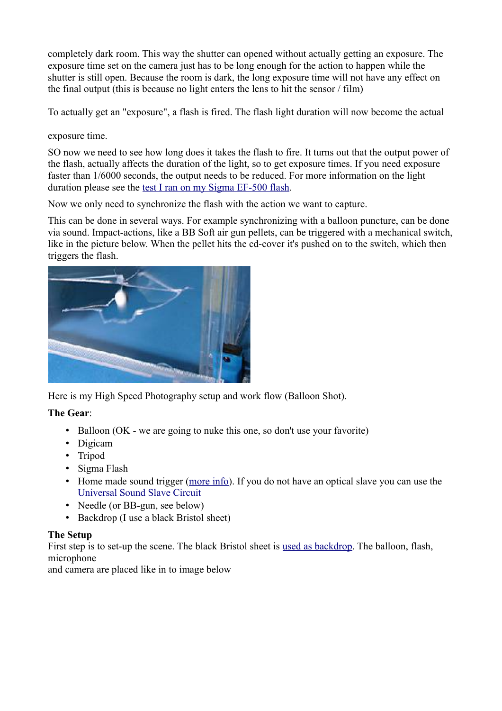completely dark room. This way the shutter can opened without actually getting an exposure. The exposure time set on the camera just has to be long enough for the action to happen while the shutter is still open. Because the room is dark, the long exposure time will not have any effect on the final output (this is because no light enters the lens to hit the sensor / film)

To actually get an "exposure", a flash is fired. The flash light duration will now become the actual

exposure time.

SO now we need to see how long does it takes the flash to fire. It turns out that the output power of the flash, actually affects the duration of the light, so to get exposure times. If you need exposure faster than 1/6000 seconds, the output needs to be reduced. For more information on the light duration please see the [test I ran on my Sigma EF-500 flash.](http://www.diyphotography.net/light_duration_vs_output_power)

Now we only need to synchronize the flash with the action we want to capture.

This can be done in several ways. For example synchronizing with a balloon puncture, can be done via sound. Impact-actions, like a BB Soft air gun pellets, can be triggered with a mechanical switch, like in the picture below. When the pellet hits the cd-cover it's pushed on to the switch, which then triggers the flash.



Here is my High Speed Photography setup and work flow (Balloon Shot).

#### **The Gear**:

- Balloon (OK we are going to nuke this one, so don't use your favorite)
- Digicam
- Tripod
- Sigma Flash
- Home made sound trigger [\(more info\)](http://www.diyphotography.net/diy_sound_trigger_for_sigma_ef_500_flash). If you do not have an optical slave you can use the [Universal Sound Slave Circuit](http://www.diyphotography.net/universal_sound_and_optical_slave_flash_trigger)
- Needle (or BB-gun, see below)
- Backdrop (I use a black Bristol sheet)

#### **The Setup**

First step is to set-up the scene. The black Bristol sheet is [used as backdrop.](http://www.diyphotography.net/homestudio/cheap-homemade-diy-studio-no-lighting-needed) The balloon, flash, microphone

and camera are placed like in to image below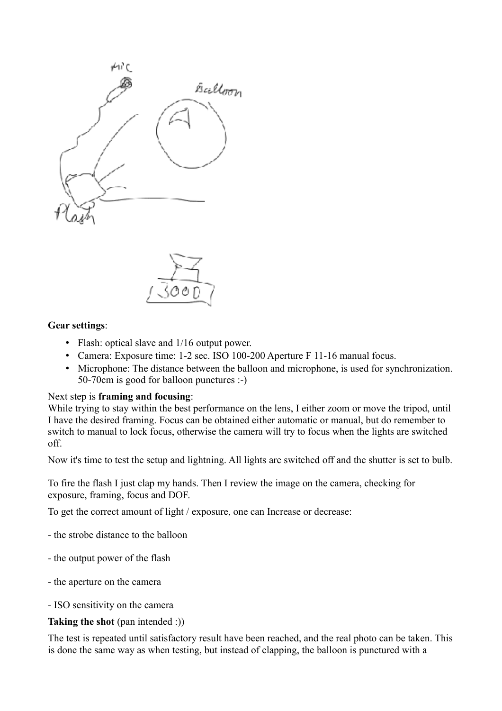



#### **Gear settings**:

- Flash: optical slave and  $1/16$  output power.
- Camera: Exposure time: 1-2 sec. ISO 100-200 Aperture F 11-16 manual focus.
- Microphone: The distance between the balloon and microphone, is used for synchronization. 50-70cm is good for balloon punctures :-)

#### Next step is **framing and focusing**:

While trying to stay within the best performance on the lens, I either zoom or move the tripod, until I have the desired framing. Focus can be obtained either automatic or manual, but do remember to switch to manual to lock focus, otherwise the camera will try to focus when the lights are switched off.

Now it's time to test the setup and lightning. All lights are switched off and the shutter is set to bulb.

To fire the flash I just clap my hands. Then I review the image on the camera, checking for exposure, framing, focus and DOF.

To get the correct amount of light / exposure, one can Increase or decrease:

- the strobe distance to the balloon

- the output power of the flash
- the aperture on the camera

- ISO sensitivity on the camera

#### **Taking the shot** (pan intended :))

The test is repeated until satisfactory result have been reached, and the real photo can be taken. This is done the same way as when testing, but instead of clapping, the balloon is punctured with a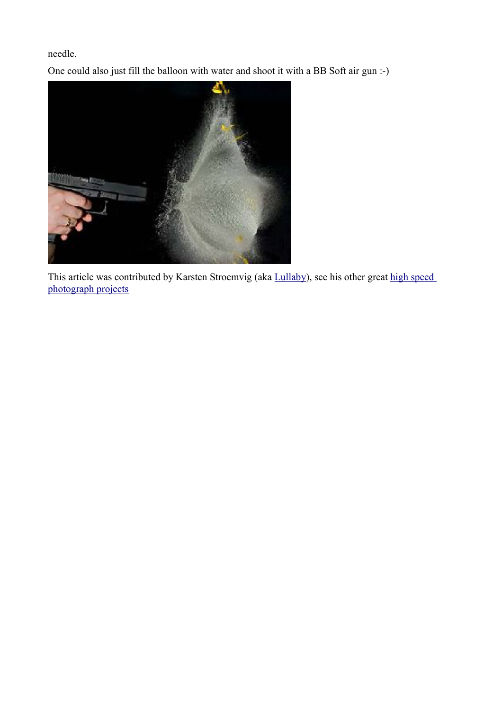needle.

One could also just fill the balloon with water and shoot it with a BB Soft air gun :-)



This article was contributed by Karsten Stroemvig (aka [Lullaby\)](http://lullaby.homepage.dk/gallery/index.html), see his other great high speed [photograph projects](http://www.diyphotography.net/taxonomy/term/22)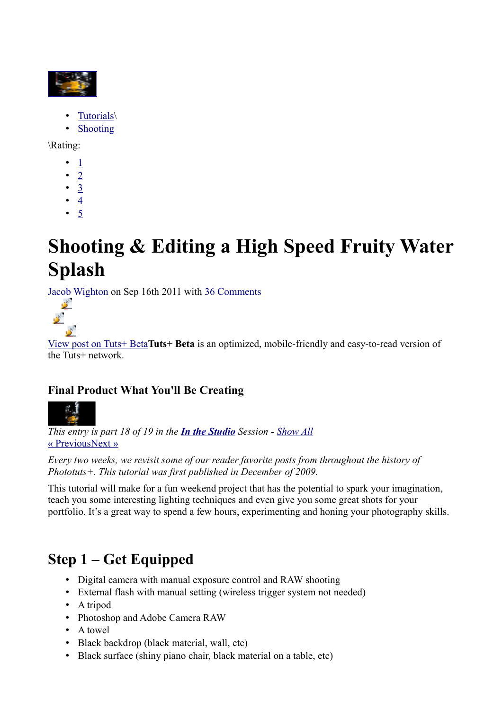

- • [Tutorials\](http://photo.tutsplus.com/category/tutorials/)
- • [Shooting](http://photo.tutsplus.com/category/tutorials/shooting/)

\Rating:

- • [1](javascript:void(0))
- • [2](javascript:void(0))
- $\cdot \underline{3}$
- $\cdot$   $4$
- • [5](javascript:void(0))

# **Shooting & Editing a High Speed Fruity Water Splash**

[Jacob Wighton](http://photo.tutsplus.com/author/jacob-wighton/) on Sep 16th 2011 with [36 Comments](http://photo.tutsplus.com/tutorials/shooting-editing-a-high-speed-fruity-water-splash/#disqus_thread)



[View post on Tuts+ Beta](http://hub.tutsplus.com/tutorials/shooting-editing-a-high-speed-fruity-water-splash--photo-959)**Tuts+ Beta** is an optimized, mobile-friendly and easy-to-read version of the Tuts+ network

#### **Final Product What You'll Be Creating**



*This entry is part 18 of 19 in the [In the Studio](http://photo.tutsplus.com/sessions/in-the-studio/) Session - [Show All](javascript:void(0);)*  [« Previous](http://photo.tutsplus.com/articles/hardware/product-review-modahaus-table-top-studios/) [Next »](http://photo.tutsplus.com/tutorials/shooting/10-tips-to-get-started-with-still-life-photography/)

*Every two weeks, we revisit some of our reader favorite posts from throughout the history of Phototuts+. This tutorial was first published in December of 2009.*

This tutorial will make for a fun weekend project that has the potential to spark your imagination, teach you some interesting lighting techniques and even give you some great shots for your portfolio. It's a great way to spend a few hours, experimenting and honing your photography skills.

## **Step 1 – Get Equipped**

- Digital camera with manual exposure control and RAW shooting
- External flash with manual setting (wireless trigger system not needed)
- A tripod
- Photoshop and Adobe Camera RAW
- A towel
- Black backdrop (black material, wall, etc)
- Black surface (shiny piano chair, black material on a table, etc)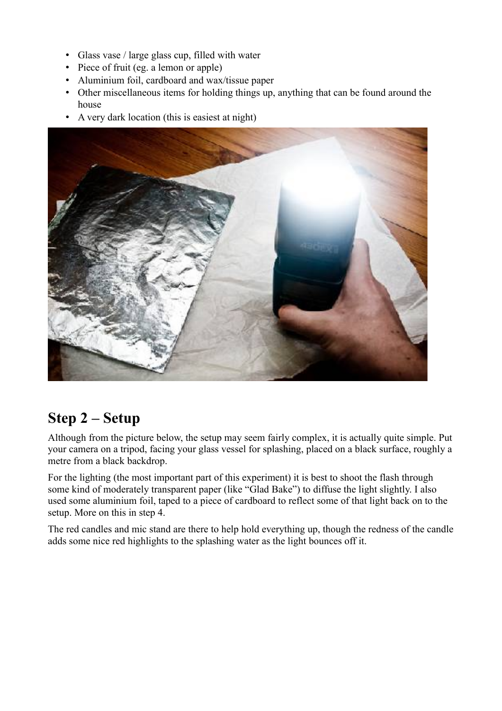- Glass vase / large glass cup, filled with water
- Piece of fruit (eg. a lemon or apple)
- Aluminium foil, cardboard and wax/tissue paper
- Other miscellaneous items for holding things up, anything that can be found around the house
- A very dark location (this is easiest at night)



#### **Step 2 – Setup**

Although from the picture below, the setup may seem fairly complex, it is actually quite simple. Put your camera on a tripod, facing your glass vessel for splashing, placed on a black surface, roughly a metre from a black backdrop.

For the lighting (the most important part of this experiment) it is best to shoot the flash through some kind of moderately transparent paper (like "Glad Bake") to diffuse the light slightly. I also used some aluminium foil, taped to a piece of cardboard to reflect some of that light back on to the setup. More on this in step 4.

The red candles and mic stand are there to help hold everything up, though the redness of the candle adds some nice red highlights to the splashing water as the light bounces off it.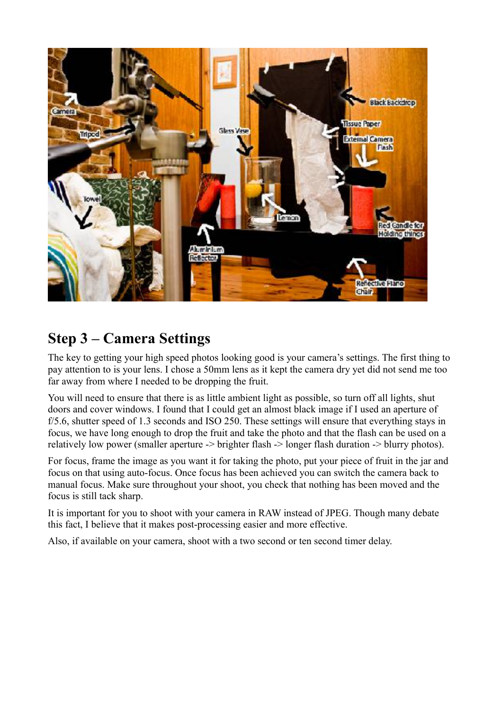

### **Step 3 – Camera Settings**

The key to getting your high speed photos looking good is your camera's settings. The first thing to pay attention to is your lens. I chose a 50mm lens as it kept the camera dry yet did not send me too far away from where I needed to be dropping the fruit.

You will need to ensure that there is as little ambient light as possible, so turn off all lights, shut doors and cover windows. I found that I could get an almost black image if I used an aperture of f/5.6, shutter speed of 1.3 seconds and ISO 250. These settings will ensure that everything stays in focus, we have long enough to drop the fruit and take the photo and that the flash can be used on a relatively low power (smaller aperture -> brighter flash -> longer flash duration -> blurry photos).

For focus, frame the image as you want it for taking the photo, put your piece of fruit in the jar and focus on that using auto-focus. Once focus has been achieved you can switch the camera back to manual focus. Make sure throughout your shoot, you check that nothing has been moved and the focus is still tack sharp.

It is important for you to shoot with your camera in RAW instead of JPEG. Though many debate this fact, I believe that it makes post-processing easier and more effective.

Also, if available on your camera, shoot with a two second or ten second timer delay.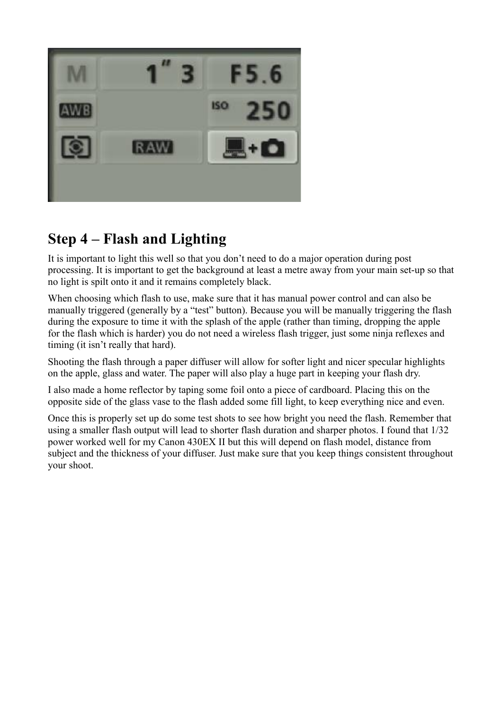

### **Step 4 – Flash and Lighting**

It is important to light this well so that you don't need to do a major operation during post processing. It is important to get the background at least a metre away from your main set-up so that no light is spilt onto it and it remains completely black.

When choosing which flash to use, make sure that it has manual power control and can also be manually triggered (generally by a "test" button). Because you will be manually triggering the flash during the exposure to time it with the splash of the apple (rather than timing, dropping the apple for the flash which is harder) you do not need a wireless flash trigger, just some ninja reflexes and timing (it isn't really that hard).

Shooting the flash through a paper diffuser will allow for softer light and nicer specular highlights on the apple, glass and water. The paper will also play a huge part in keeping your flash dry.

I also made a home reflector by taping some foil onto a piece of cardboard. Placing this on the opposite side of the glass vase to the flash added some fill light, to keep everything nice and even.

Once this is properly set up do some test shots to see how bright you need the flash. Remember that using a smaller flash output will lead to shorter flash duration and sharper photos. I found that 1/32 power worked well for my Canon 430EX II but this will depend on flash model, distance from subject and the thickness of your diffuser. Just make sure that you keep things consistent throughout your shoot.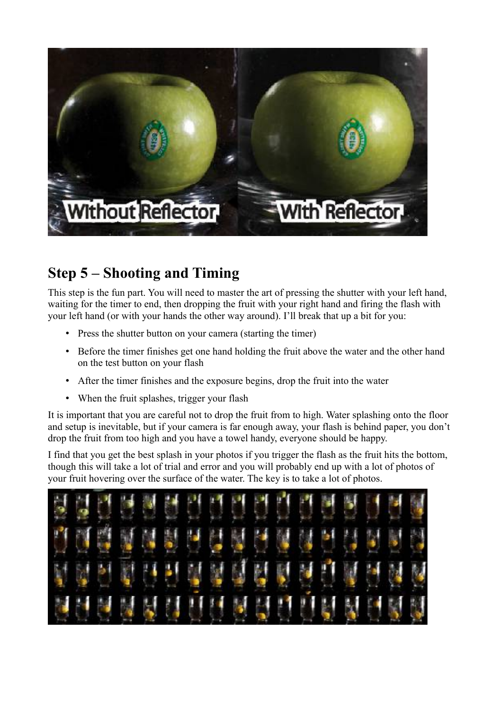

### **Step 5 – Shooting and Timing**

This step is the fun part. You will need to master the art of pressing the shutter with your left hand, waiting for the timer to end, then dropping the fruit with your right hand and firing the flash with your left hand (or with your hands the other way around). I'll break that up a bit for you:

- Press the shutter button on your camera (starting the timer)
- Before the timer finishes get one hand holding the fruit above the water and the other hand on the test button on your flash
- After the timer finishes and the exposure begins, drop the fruit into the water
- When the fruit splashes, trigger your flash

It is important that you are careful not to drop the fruit from to high. Water splashing onto the floor and setup is inevitable, but if your camera is far enough away, your flash is behind paper, you don't drop the fruit from too high and you have a towel handy, everyone should be happy.

I find that you get the best splash in your photos if you trigger the flash as the fruit hits the bottom, though this will take a lot of trial and error and you will probably end up with a lot of photos of your fruit hovering over the surface of the water. The key is to take a lot of photos.

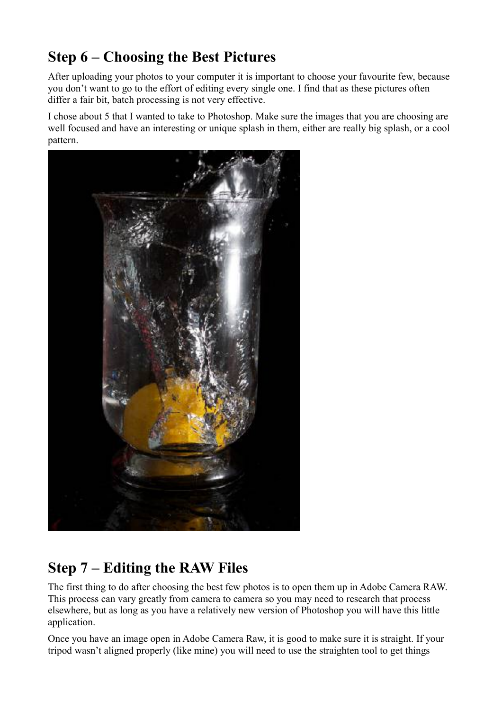### **Step 6 – Choosing the Best Pictures**

After uploading your photos to your computer it is important to choose your favourite few, because you don't want to go to the effort of editing every single one. I find that as these pictures often differ a fair bit, batch processing is not very effective.

I chose about 5 that I wanted to take to Photoshop. Make sure the images that you are choosing are well focused and have an interesting or unique splash in them, either are really big splash, or a cool pattern.



### **Step 7 – Editing the RAW Files**

The first thing to do after choosing the best few photos is to open them up in Adobe Camera RAW. This process can vary greatly from camera to camera so you may need to research that process elsewhere, but as long as you have a relatively new version of Photoshop you will have this little application.

Once you have an image open in Adobe Camera Raw, it is good to make sure it is straight. If your tripod wasn't aligned properly (like mine) you will need to use the straighten tool to get things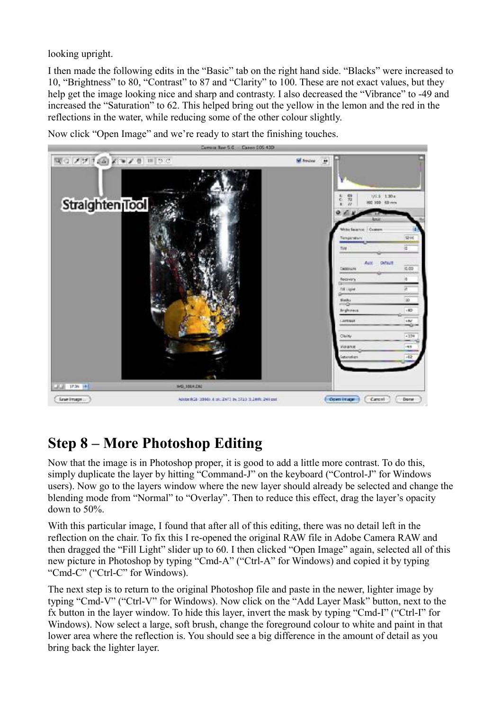looking upright.

I then made the following edits in the "Basic" tab on the right hand side. "Blacks" were increased to 10, "Brightness" to 80, "Contrast" to 87 and "Clarity" to 100. These are not exact values, but they help get the image looking nice and sharp and contrasty. I also decreased the "Vibrance" to -49 and increased the "Saturation" to 62. This helped bring out the yellow in the lemon and the red in the reflections in the water, while reducing some of the other colour slightly.

Now click "Open Image" and we're ready to start the finishing touches.



### **Step 8 – More Photoshop Editing**

Now that the image is in Photoshop proper, it is good to add a little more contrast. To do this, simply duplicate the layer by hitting "Command-J" on the keyboard ("Control-J" for Windows users). Now go to the layers window where the new layer should already be selected and change the blending mode from "Normal" to "Overlay". Then to reduce this effect, drag the layer's opacity down to 50%.

With this particular image, I found that after all of this editing, there was no detail left in the reflection on the chair. To fix this I re-opened the original RAW file in Adobe Camera RAW and then dragged the "Fill Light" slider up to 60. I then clicked "Open Image" again, selected all of this new picture in Photoshop by typing "Cmd-A" ("Ctrl-A" for Windows) and copied it by typing "Cmd-C" ("Ctrl-C" for Windows).

The next step is to return to the original Photoshop file and paste in the newer, lighter image by typing "Cmd-V" ("Ctrl-V" for Windows). Now click on the "Add Layer Mask" button, next to the fx button in the layer window. To hide this layer, invert the mask by typing "Cmd-I" ("Ctrl-I" for Windows). Now select a large, soft brush, change the foreground colour to white and paint in that lower area where the reflection is. You should see a big difference in the amount of detail as you bring back the lighter layer.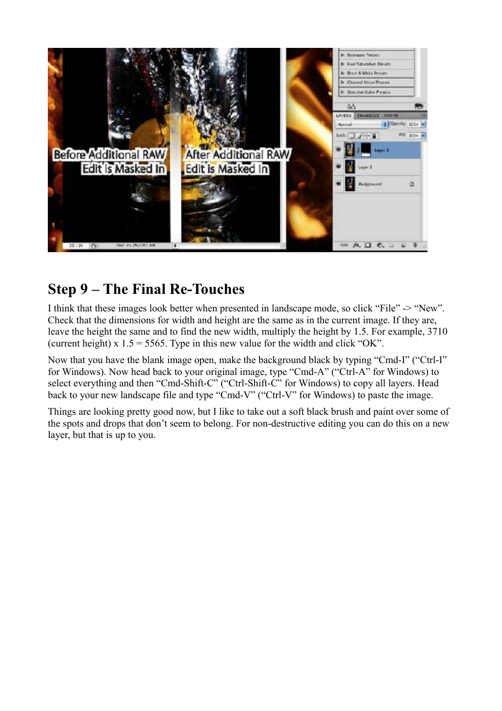

#### **Step 9 – The Final Re-Touches**

I think that these images look better when presented in landscape mode, so click "File" -> "New". Check that the dimensions for width and height are the same as in the current image. If they are, leave the height the same and to find the new width, multiply the height by 1.5. For example, 3710 (current height) x  $1.5 = 5565$ . Type in this new value for the width and click "OK".

Now that you have the blank image open, make the background black by typing "Cmd-I" ("Ctrl-I" for Windows). Now head back to your original image, type "Cmd-A" ("Ctrl-A" for Windows) to select everything and then "Cmd-Shift-C" ("Ctrl-Shift-C" for Windows) to copy all layers. Head back to your new landscape file and type "Cmd-V" ("Ctrl-V" for Windows) to paste the image.

Things are looking pretty good now, but I like to take out a soft black brush and paint over some of the spots and drops that don't seem to belong. For non-destructive editing you can do this on a new layer, but that is up to you.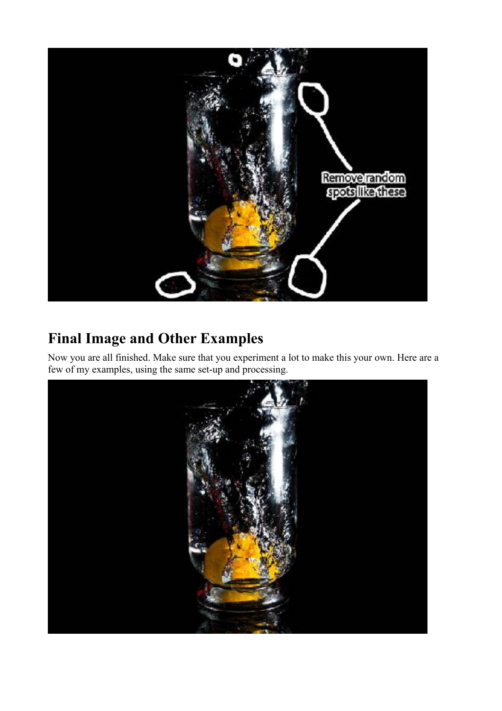

### **Final Image and Other Examples**

Now you are all finished. Make sure that you experiment a lot to make this your own. Here are a few of my examples, using the same set-up and processing.